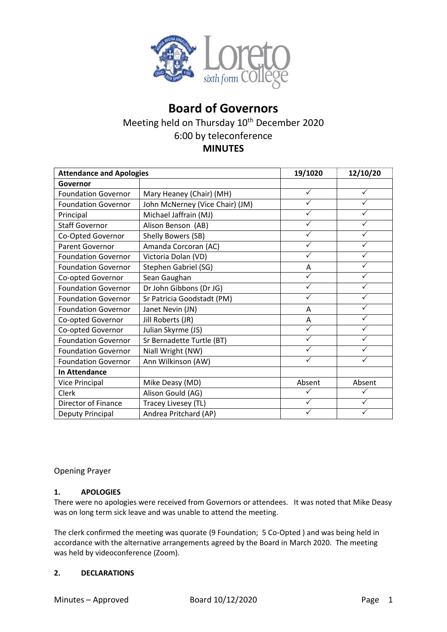

# **Board of Governors** Meeting held on Thursday 10<sup>th</sup> December 2020 6:00 by teleconference **MINUTES**

| <b>Attendance and Apologies</b> |                                 | 19/1020      | 12/10/20     |
|---------------------------------|---------------------------------|--------------|--------------|
| Governor                        |                                 |              |              |
| <b>Foundation Governor</b>      | Mary Heaney (Chair) (MH)        | ✓            | $\checkmark$ |
| <b>Foundation Governor</b>      | John McNerney (Vice Chair) (JM) | ✓            |              |
| Principal                       | Michael Jaffrain (MJ)           | ✓            | ✓            |
| <b>Staff Governor</b>           | Alison Benson (AB)              | ✓            | $\checkmark$ |
| Co-Opted Governor               | Shelly Bowers (SB)              | ✓            | ✓            |
| <b>Parent Governor</b>          | Amanda Corcoran (AC)            | ✓            | ✓            |
| <b>Foundation Governor</b>      | Victoria Dolan (VD)             | ✓            | $\checkmark$ |
| <b>Foundation Governor</b>      | Stephen Gabriel (SG)            | A            | $\checkmark$ |
| Co-opted Governor               | Sean Gaughan                    | $\checkmark$ | $\checkmark$ |
| <b>Foundation Governor</b>      | Dr John Gibbons (Dr JG)         | $\checkmark$ | $\checkmark$ |
| <b>Foundation Governor</b>      | Sr Patricia Goodstadt (PM)      | ✓            | $\checkmark$ |
| <b>Foundation Governor</b>      | Janet Nevin (JN)                | A            | $\checkmark$ |
| Co-opted Governor               | Jill Roberts (JR)               | A            |              |
| Co-opted Governor               | Julian Skyrme (JS)              | ✓            | ✓            |
| <b>Foundation Governor</b>      | Sr Bernadette Turtle (BT)       | ✓            |              |
| <b>Foundation Governor</b>      | Niall Wright (NW)               | ✓            | ✓            |
| <b>Foundation Governor</b>      | Ann Wilkinson (AW)              | ✓            | ✓            |
| <b>In Attendance</b>            |                                 |              |              |
| Vice Principal                  | Mike Deasy (MD)                 | Absent       | Absent       |
| Clerk                           | Alison Gould (AG)               |              |              |
| <b>Director of Finance</b>      | Tracey Livesey (TL)             | $\checkmark$ | ✓            |
| Deputy Principal                | Andrea Pritchard (AP)           |              |              |

Opening Prayer

# **1. APOLOGIES**

There were no apologies were received from Governors or attendees. It was noted that Mike Deasy was on long term sick leave and was unable to attend the meeting.

The clerk confirmed the meeting was quorate (9 Foundation; 5 Co-Opted ) and was being held in accordance with the alternative arrangements agreed by the Board in March 2020. The meeting was held by videoconference (Zoom).

## **2. DECLARATIONS**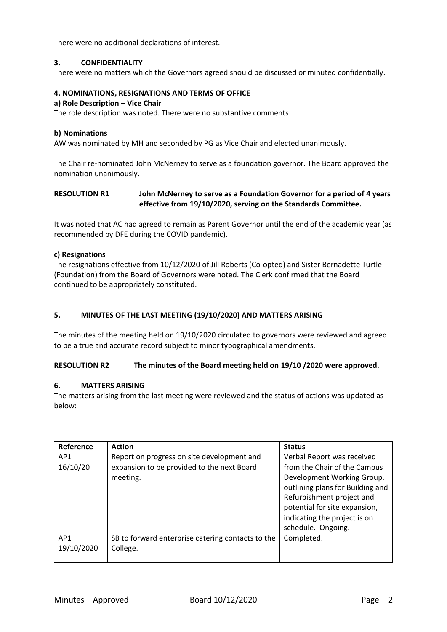There were no additional declarations of interest.

## **3. CONFIDENTIALITY**

There were no matters which the Governors agreed should be discussed or minuted confidentially.

## **4. NOMINATIONS, RESIGNATIONS AND TERMS OF OFFICE**

#### **a) Role Description – Vice Chair**

The role description was noted. There were no substantive comments.

#### **b) Nominations**

AW was nominated by MH and seconded by PG as Vice Chair and elected unanimously.

The Chair re-nominated John McNerney to serve as a foundation governor. The Board approved the nomination unanimously.

## **RESOLUTION R1 John McNerney to serve as a Foundation Governor for a period of 4 years effective from 19/10/2020, serving on the Standards Committee.**

It was noted that AC had agreed to remain as Parent Governor until the end of the academic year (as recommended by DFE during the COVID pandemic).

## **c) Resignations**

The resignations effective from 10/12/2020 of Jill Roberts (Co-opted) and Sister Bernadette Turtle (Foundation) from the Board of Governors were noted. The Clerk confirmed that the Board continued to be appropriately constituted.

## **5. MINUTES OF THE LAST MEETING (19/10/2020) AND MATTERS ARISING**

The minutes of the meeting held on 19/10/2020 circulated to governors were reviewed and agreed to be a true and accurate record subject to minor typographical amendments.

## **RESOLUTION R2 The minutes of the Board meeting held on 19/10 /2020 were approved.**

## **6. MATTERS ARISING**

The matters arising from the last meeting were reviewed and the status of actions was updated as below:

| Reference       | <b>Action</b>                                     | <b>Status</b>                    |
|-----------------|---------------------------------------------------|----------------------------------|
| AP1             | Report on progress on site development and        | Verbal Report was received       |
| 16/10/20        | expansion to be provided to the next Board        | from the Chair of the Campus     |
|                 | meeting.                                          | Development Working Group,       |
|                 |                                                   | outlining plans for Building and |
|                 |                                                   | Refurbishment project and        |
|                 |                                                   | potential for site expansion,    |
|                 |                                                   | indicating the project is on     |
|                 |                                                   | schedule. Ongoing.               |
| AP <sub>1</sub> | SB to forward enterprise catering contacts to the | Completed.                       |
| 19/10/2020      | College.                                          |                                  |
|                 |                                                   |                                  |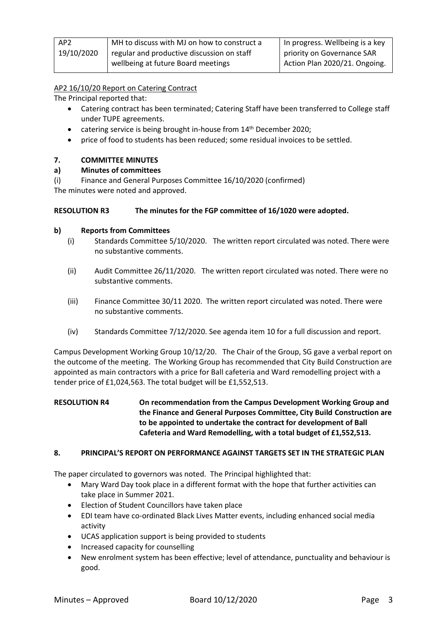| AP <sub>2</sub> | MH to discuss with MJ on how to construct a | In progress. Wellbeing is a key |
|-----------------|---------------------------------------------|---------------------------------|
| 19/10/2020      | regular and productive discussion on staff  | priority on Governance SAR      |
|                 | wellbeing at future Board meetings          | Action Plan 2020/21. Ongoing.   |

# AP2 16/10/20 Report on Catering Contract

The Principal reported that:

- Catering contract has been terminated; Catering Staff have been transferred to College staff under TUPE agreements.
- catering service is being brought in-house from 14<sup>th</sup> December 2020;
- price of food to students has been reduced; some residual invoices to be settled.

# **7. COMMITTEE MINUTES**

## **a) Minutes of committees**

(i) Finance and General Purposes Committee 16/10/2020 (confirmed)

The minutes were noted and approved.

## **RESOLUTION R3 The minutes for the FGP committee of 16/1020 were adopted.**

## **b) Reports from Committees**

- (i) Standards Committee 5/10/2020. The written report circulated was noted. There were no substantive comments.
- (ii) Audit Committee 26/11/2020. The written report circulated was noted. There were no substantive comments.
- (iii) Finance Committee 30/11 2020. The written report circulated was noted. There were no substantive comments.
- (iv) Standards Committee 7/12/2020. See agenda item 10 for a full discussion and report.

Campus Development Working Group 10/12/20. The Chair of the Group, SG gave a verbal report on the outcome of the meeting. The Working Group has recommended that City Build Construction are appointed as main contractors with a price for Ball cafeteria and Ward remodelling project with a tender price of £1,024,563. The total budget will be £1,552,513.

# **RESOLUTION R4 On recommendation from the Campus Development Working Group and the Finance and General Purposes Committee, City Build Construction are to be appointed to undertake the contract for development of Ball Cafeteria and Ward Remodelling, with a total budget of £1,552,513.**

## **8. PRINCIPAL'S REPORT ON PERFORMANCE AGAINST TARGETS SET IN THE STRATEGIC PLAN**

The paper circulated to governors was noted. The Principal highlighted that:

- Mary Ward Day took place in a different format with the hope that further activities can take place in Summer 2021.
- Election of Student Councillors have taken place
- EDI team have co-ordinated Black Lives Matter events, including enhanced social media activity
- UCAS application support is being provided to students
- Increased capacity for counselling
- New enrolment system has been effective; level of attendance, punctuality and behaviour is good.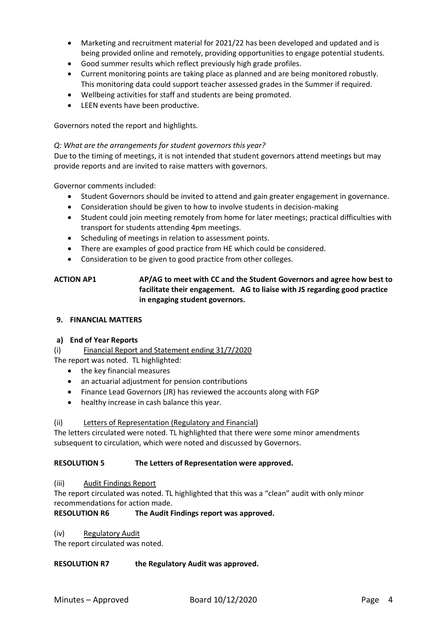- Marketing and recruitment material for 2021/22 has been developed and updated and is being provided online and remotely, providing opportunities to engage potential students.
- Good summer results which reflect previously high grade profiles.
- Current monitoring points are taking place as planned and are being monitored robustly. This monitoring data could support teacher assessed grades in the Summer if required.
- Wellbeing activities for staff and students are being promoted.
- LEEN events have been productive.

Governors noted the report and highlights.

## *Q: What are the arrangements for student governors this year?*

Due to the timing of meetings, it is not intended that student governors attend meetings but may provide reports and are invited to raise matters with governors.

Governor comments included:

- Student Governors should be invited to attend and gain greater engagement in governance.
- Consideration should be given to how to involve students in decision-making
- Student could join meeting remotely from home for later meetings; practical difficulties with transport for students attending 4pm meetings.
- Scheduling of meetings in relation to assessment points.
- There are examples of good practice from HE which could be considered.
- Consideration to be given to good practice from other colleges.

# **ACTION AP1 AP/AG to meet with CC and the Student Governors and agree how best to facilitate their engagement. AG to liaise with JS regarding good practice in engaging student governors.**

## **9. FINANCIAL MATTERS**

## **a) End of Year Reports**

(i) Financial Report and Statement ending 31/7/2020

The report was noted. TL highlighted:

- the key financial measures
- an actuarial adjustment for pension contributions
- Finance Lead Governors (JR) has reviewed the accounts along with FGP
- healthy increase in cash balance this year.

## (ii) Letters of Representation (Regulatory and Financial)

The letters circulated were noted. TL highlighted that there were some minor amendments subsequent to circulation, which were noted and discussed by Governors.

# **RESOLUTION 5 The Letters of Representation were approved.**

## (iii) Audit Findings Report

The report circulated was noted. TL highlighted that this was a "clean" audit with only minor recommendations for action made.

## **RESOLUTION R6 The Audit Findings report was approved.**

(iv) Regulatory Audit

The report circulated was noted.

## **RESOLUTION R7 the Regulatory Audit was approved.**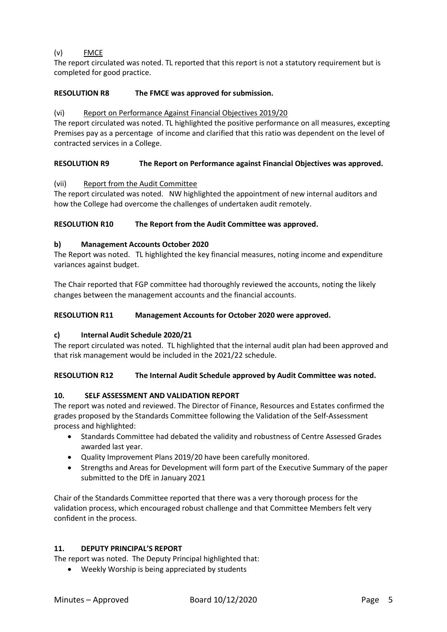# (v) FMCE

The report circulated was noted. TL reported that this report is not a statutory requirement but is completed for good practice.

# **RESOLUTION R8 The FMCE was approved for submission.**

# (vi) Report on Performance Against Financial Objectives 2019/20

The report circulated was noted. TL highlighted the positive performance on all measures, excepting Premises pay as a percentage of income and clarified that this ratio was dependent on the level of contracted services in a College.

# **RESOLUTION R9 The Report on Performance against Financial Objectives was approved.**

## (vii) Report from the Audit Committee

The report circulated was noted. NW highlighted the appointment of new internal auditors and how the College had overcome the challenges of undertaken audit remotely.

# **RESOLUTION R10 The Report from the Audit Committee was approved.**

## **b) Management Accounts October 2020**

The Report was noted. TL highlighted the key financial measures, noting income and expenditure variances against budget.

The Chair reported that FGP committee had thoroughly reviewed the accounts, noting the likely changes between the management accounts and the financial accounts.

## **RESOLUTION R11 Management Accounts for October 2020 were approved.**

# **c) Internal Audit Schedule 2020/21**

The report circulated was noted. TL highlighted that the internal audit plan had been approved and that risk management would be included in the 2021/22 schedule.

# **RESOLUTION R12 The Internal Audit Schedule approved by Audit Committee was noted.**

# **10. SELF ASSESSMENT AND VALIDATION REPORT**

The report was noted and reviewed. The Director of Finance, Resources and Estates confirmed the grades proposed by the Standards Committee following the Validation of the Self-Assessment process and highlighted:

- Standards Committee had debated the validity and robustness of Centre Assessed Grades awarded last year.
- Quality Improvement Plans 2019/20 have been carefully monitored.
- Strengths and Areas for Development will form part of the Executive Summary of the paper submitted to the DfE in January 2021

Chair of the Standards Committee reported that there was a very thorough process for the validation process, which encouraged robust challenge and that Committee Members felt very confident in the process.

## **11. DEPUTY PRINCIPAL'S REPORT**

The report was noted. The Deputy Principal highlighted that:

• Weekly Worship is being appreciated by students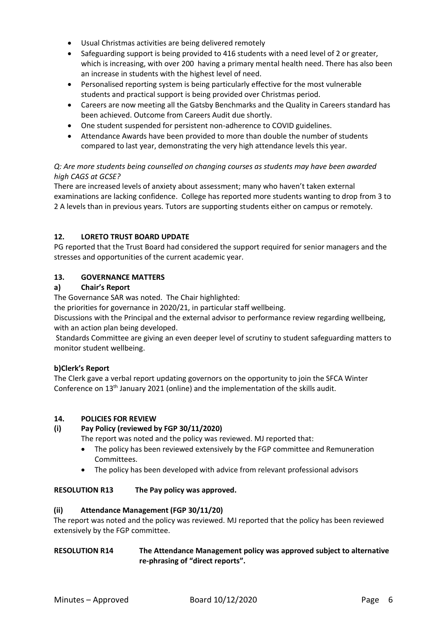- Usual Christmas activities are being delivered remotely
- Safeguarding support is being provided to 416 students with a need level of 2 or greater, which is increasing, with over 200 having a primary mental health need. There has also been an increase in students with the highest level of need.
- Personalised reporting system is being particularly effective for the most vulnerable students and practical support is being provided over Christmas period.
- Careers are now meeting all the Gatsby Benchmarks and the Quality in Careers standard has been achieved. Outcome from Careers Audit due shortly.
- One student suspended for persistent non-adherence to COVID guidelines.
- Attendance Awards have been provided to more than double the number of students compared to last year, demonstrating the very high attendance levels this year.

# *Q: Are more students being counselled on changing courses as students may have been awarded high CAGS at GCSE?*

There are increased levels of anxiety about assessment; many who haven't taken external examinations are lacking confidence. College has reported more students wanting to drop from 3 to 2 A levels than in previous years. Tutors are supporting students either on campus or remotely.

## **12. LORETO TRUST BOARD UPDATE**

PG reported that the Trust Board had considered the support required for senior managers and the stresses and opportunities of the current academic year.

## **13. GOVERNANCE MATTERS**

## **a) Chair's Report**

The Governance SAR was noted. The Chair highlighted:

the priorities for governance in 2020/21, in particular staff wellbeing.

Discussions with the Principal and the external advisor to performance review regarding wellbeing, with an action plan being developed.

Standards Committee are giving an even deeper level of scrutiny to student safeguarding matters to monitor student wellbeing.

## **b)Clerk's Report**

The Clerk gave a verbal report updating governors on the opportunity to join the SFCA Winter Conference on 13th January 2021 (online) and the implementation of the skills audit.

## **14. POLICIES FOR REVIEW**

## **(i) Pay Policy (reviewed by FGP 30/11/2020)**

The report was noted and the policy was reviewed. MJ reported that:

- The policy has been reviewed extensively by the FGP committee and Remuneration Committees.
- The policy has been developed with advice from relevant professional advisors

## **RESOLUTION R13 The Pay policy was approved.**

## **(ii) Attendance Management (FGP 30/11/20)**

The report was noted and the policy was reviewed. MJ reported that the policy has been reviewed extensively by the FGP committee.

## **RESOLUTION R14 The Attendance Management policy was approved subject to alternative re-phrasing of "direct reports".**